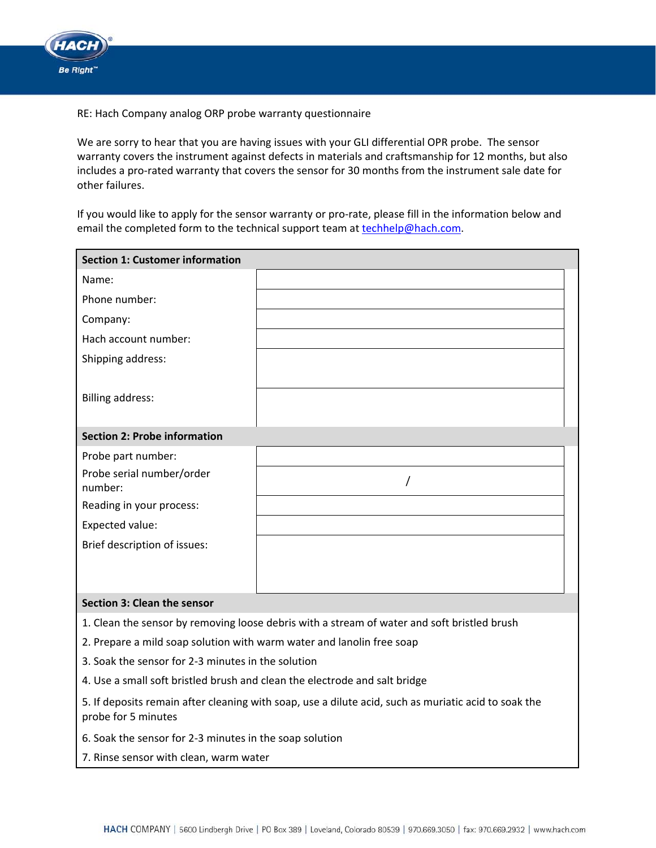

RE: Hach Company analog ORP probe warranty questionnaire

We are sorry to hear that you are having issues with your GLI differential OPR probe. The sensor warranty covers the instrument against defects in materials and craftsmanship for 12 months, but also includes a pro-rated warranty that covers the sensor for 30 months from the instrument sale date for other failures.

If you would like to apply for the sensor warranty or pro‐rate, please fill in the information below and email the completed form to the technical support team at [techhelp@hach.com](mailto:techhelp@hach.com).

| <b>Section 1: Customer information</b>                                                                                      |          |  |  |  |
|-----------------------------------------------------------------------------------------------------------------------------|----------|--|--|--|
| Name:                                                                                                                       |          |  |  |  |
| Phone number:                                                                                                               |          |  |  |  |
| Company:                                                                                                                    |          |  |  |  |
| Hach account number:                                                                                                        |          |  |  |  |
| Shipping address:                                                                                                           |          |  |  |  |
|                                                                                                                             |          |  |  |  |
| <b>Billing address:</b>                                                                                                     |          |  |  |  |
|                                                                                                                             |          |  |  |  |
| <b>Section 2: Probe information</b>                                                                                         |          |  |  |  |
| Probe part number:                                                                                                          |          |  |  |  |
| Probe serial number/order                                                                                                   | $\prime$ |  |  |  |
| number:                                                                                                                     |          |  |  |  |
| Reading in your process:                                                                                                    |          |  |  |  |
| Expected value:                                                                                                             |          |  |  |  |
| Brief description of issues:                                                                                                |          |  |  |  |
|                                                                                                                             |          |  |  |  |
|                                                                                                                             |          |  |  |  |
| Section 3: Clean the sensor                                                                                                 |          |  |  |  |
| 1. Clean the sensor by removing loose debris with a stream of water and soft bristled brush                                 |          |  |  |  |
| 2. Prepare a mild soap solution with warm water and lanolin free soap                                                       |          |  |  |  |
| 3. Soak the sensor for 2-3 minutes in the solution                                                                          |          |  |  |  |
| 4. Use a small soft bristled brush and clean the electrode and salt bridge                                                  |          |  |  |  |
| 5. If deposits remain after cleaning with soap, use a dilute acid, such as muriatic acid to soak the<br>probe for 5 minutes |          |  |  |  |
| 6. Soak the sensor for 2-3 minutes in the soap solution                                                                     |          |  |  |  |

7. Rinse sensor with clean, warm water